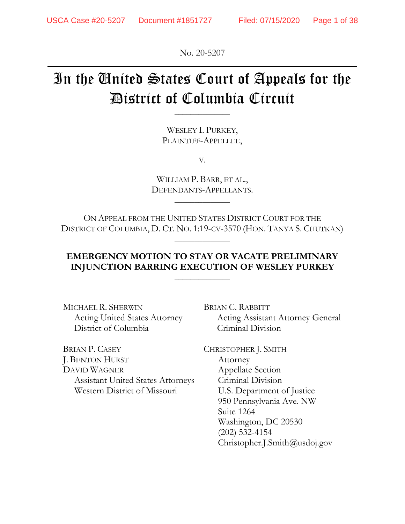No. 20-5207

# In the United States Court of Appeals for the District of Columbia Circuit

WESLEY I. PURKEY, PLAINTIFF-APPELLEE,

**\_\_\_\_\_\_\_\_\_\_\_\_\_\_**

V.

WILLIAM P. BARR, ET AL., DEFENDANTS-APPELLANTS.

 $\overline{\phantom{a}}$  , where  $\overline{\phantom{a}}$ 

ON APPEAL FROM THE UNITED STATES DISTRICT COURT FOR THE DISTRICT OF COLUMBIA, D. CT. NO. 1:19-CV-3570 (HON. TANYA S. CHUTKAN)

 $\overline{\phantom{a}}$  , where  $\overline{\phantom{a}}$ 

# **EMERGENCY MOTION TO STAY OR VACATE PRELIMINARY INJUNCTION BARRING EXECUTION OF WESLEY PURKEY**

 $\overline{\phantom{a}}$  , where  $\overline{\phantom{a}}$ 

MICHAEL R. SHERWIN Acting United States Attorney District of Columbia

BRIAN P. CASEY J. BENTON HURST DAVID WAGNER Assistant United States Attorneys Western District of Missouri

BRIAN C. RABBITT Acting Assistant Attorney General Criminal Division

CHRISTOPHER J. SMITH Attorney Appellate Section Criminal Division U.S. Department of Justice 950 Pennsylvania Ave. NW Suite 1264 Washington, DC 20530 (202) 532-4154 Christopher.J.Smith@usdoj.gov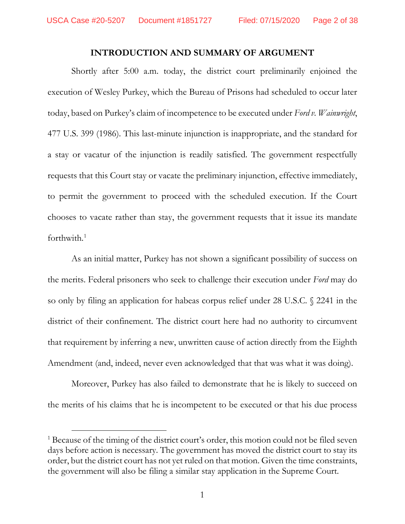# **INTRODUCTION AND SUMMARY OF ARGUMENT**

Shortly after 5:00 a.m. today, the district court preliminarily enjoined the execution of Wesley Purkey, which the Bureau of Prisons had scheduled to occur later today, based on Purkey's claim of incompetence to be executed under *Ford v. Wainwright*, 477 U.S. 399 (1986). This last-minute injunction is inappropriate, and the standard for a stay or vacatur of the injunction is readily satisfied. The government respectfully requests that this Court stay or vacate the preliminary injunction, effective immediately, to permit the government to proceed with the scheduled execution. If the Court chooses to vacate rather than stay, the government requests that it issue its mandate forthwith. 1

As an initial matter, Purkey has not shown a significant possibility of success on the merits. Federal prisoners who seek to challenge their execution under *Ford* may do so only by filing an application for habeas corpus relief under 28 U.S.C. § 2241 in the district of their confinement. The district court here had no authority to circumvent that requirement by inferring a new, unwritten cause of action directly from the Eighth Amendment (and, indeed, never even acknowledged that that was what it was doing).

Moreover, Purkey has also failed to demonstrate that he is likely to succeed on the merits of his claims that he is incompetent to be executed or that his due process

<sup>&</sup>lt;sup>1</sup> Because of the timing of the district court's order, this motion could not be filed seven days before action is necessary. The government has moved the district court to stay its order, but the district court has not yet ruled on that motion. Given the time constraints, the government will also be filing a similar stay application in the Supreme Court.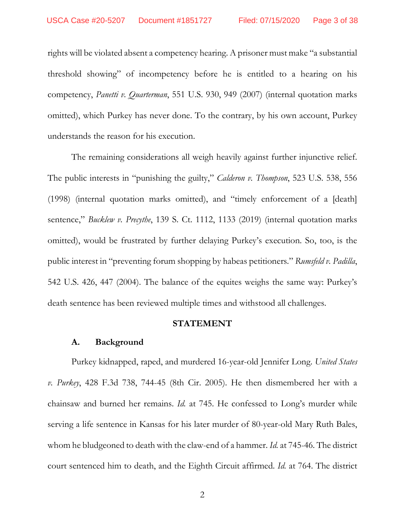rights will be violated absent a competency hearing. A prisoner must make "a substantial threshold showing" of incompetency before he is entitled to a hearing on his competency, *Panetti v. Quarterman*, 551 U.S. 930, 949 (2007) (internal quotation marks omitted), which Purkey has never done. To the contrary, by his own account, Purkey understands the reason for his execution.

The remaining considerations all weigh heavily against further injunctive relief. The public interests in "punishing the guilty," *Calderon v. Thompson*, 523 U.S. 538, 556 (1998) (internal quotation marks omitted), and "timely enforcement of a [death] sentence," *Bucklew v. Precythe*, 139 S. Ct. 1112, 1133 (2019) (internal quotation marks omitted), would be frustrated by further delaying Purkey's execution. So, too, is the public interest in "preventing forum shopping by habeas petitioners." *Rumsfeld v. Padilla*, 542 U.S. 426, 447 (2004). The balance of the equites weighs the same way: Purkey's death sentence has been reviewed multiple times and withstood all challenges.

#### **STATEMENT**

#### **A. Background**

Purkey kidnapped, raped, and murdered 16-year-old Jennifer Long. *United States v. Purkey*, 428 F.3d 738, 744-45 (8th Cir. 2005). He then dismembered her with a chainsaw and burned her remains. *Id.* at 745. He confessed to Long's murder while serving a life sentence in Kansas for his later murder of 80-year-old Mary Ruth Bales, whom he bludgeoned to death with the claw-end of a hammer. *Id.* at 745-46. The district court sentenced him to death, and the Eighth Circuit affirmed. *Id.* at 764. The district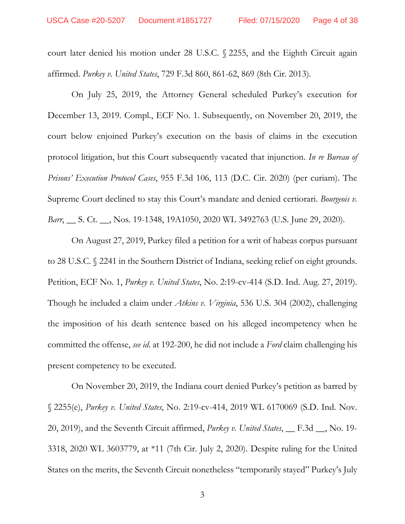court later denied his motion under 28 U.S.C. § 2255, and the Eighth Circuit again affirmed. *Purkey v. United States*, 729 F.3d 860, 861-62, 869 (8th Cir. 2013).

On July 25, 2019, the Attorney General scheduled Purkey's execution for December 13, 2019. Compl., ECF No. 1. Subsequently, on November 20, 2019, the court below enjoined Purkey's execution on the basis of claims in the execution protocol litigation, but this Court subsequently vacated that injunction. *In re Bureau of Prisons' Execution Protocol Cases*, 955 F.3d 106, 113 (D.C. Cir. 2020) (per curiam). The Supreme Court declined to stay this Court's mandate and denied certiorari. *Bourgeois v. Barr*, \_\_ S. Ct. \_\_, Nos. 19-1348, 19A1050, 2020 WL 3492763 (U.S. June 29, 2020).

On August 27, 2019, Purkey filed a petition for a writ of habeas corpus pursuant to 28 U.S.C. § 2241 in the Southern District of Indiana, seeking relief on eight grounds. Petition, ECF No. 1, *Purkey v. United States*, No. 2:19-cv-414 (S.D. Ind. Aug. 27, 2019). Though he included a claim under *Atkins v. Virginia*, 536 U.S. 304 (2002), challenging the imposition of his death sentence based on his alleged incompetency when he committed the offense, *see id*. at 192-200, he did not include a *Ford* claim challenging his present competency to be executed.

On November 20, 2019, the Indiana court denied Purkey's petition as barred by § 2255(e), *Purkey v. United States*, No. 2:19-cv-414, 2019 WL 6170069 (S.D. Ind. Nov. 20, 2019), and the Seventh Circuit affirmed, *Purkey v. United States*, \_\_ F.3d \_\_, No. 19- 3318, 2020 WL 3603779, at \*11 (7th Cir. July 2, 2020). Despite ruling for the United States on the merits, the Seventh Circuit nonetheless "temporarily stayed" Purkey's July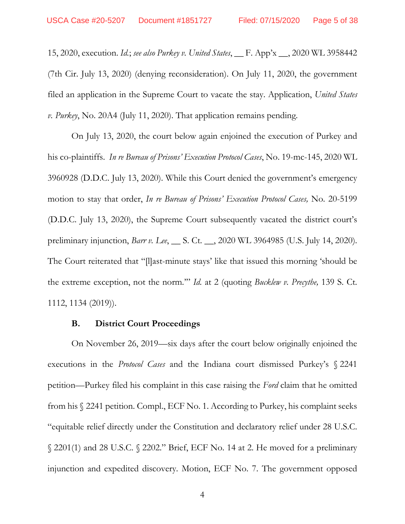15, 2020, execution. *Id.*; *see also Purkey v. United States*, \_\_ F. App'x \_\_, 2020 WL 3958442 (7th Cir. July 13, 2020) (denying reconsideration). On July 11, 2020, the government filed an application in the Supreme Court to vacate the stay. Application, *United States v. Purkey*, No. 20A4 (July 11, 2020). That application remains pending.

On July 13, 2020, the court below again enjoined the execution of Purkey and his co-plaintiffs. *In re Bureau of Prisons' Execution Protocol Cases*, No. 19-mc-145, 2020 WL 3960928 (D.D.C. July 13, 2020). While this Court denied the government's emergency motion to stay that order, *In re Bureau of Prisons' Execution Protocol Cases,* No. 20-5199 (D.D.C. July 13, 2020), the Supreme Court subsequently vacated the district court's preliminary injunction, *Barr v. Lee*, \_\_ S. Ct. \_\_, 2020 WL 3964985 (U.S. July 14, 2020). The Court reiterated that "[l]ast-minute stays' like that issued this morning 'should be the extreme exception, not the norm.'" *Id.* at 2 (quoting *Bucklew v. Precythe,* 139 S. Ct. 1112, 1134 (2019)).

#### **B. District Court Proceedings**

On November 26, 2019—six days after the court below originally enjoined the executions in the *Protocol Cases* and the Indiana court dismissed Purkey's § 2241 petition—Purkey filed his complaint in this case raising the *Ford* claim that he omitted from his § 2241 petition. Compl., ECF No. 1. According to Purkey, his complaint seeks "equitable relief directly under the Constitution and declaratory relief under 28 U.S.C. § 2201(1) and 28 U.S.C. § 2202." Brief, ECF No. 14 at 2. He moved for a preliminary injunction and expedited discovery. Motion, ECF No. 7. The government opposed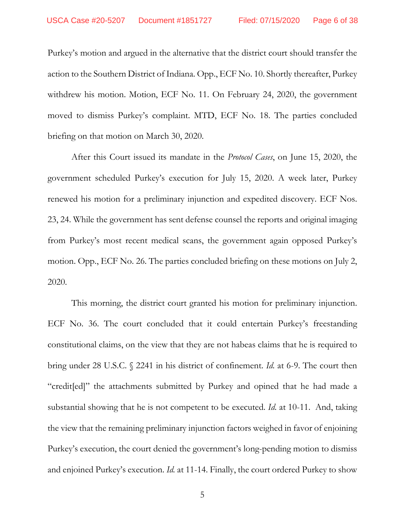Purkey's motion and argued in the alternative that the district court should transfer the action to the Southern District of Indiana. Opp., ECF No. 10. Shortly thereafter, Purkey withdrew his motion. Motion, ECF No. 11. On February 24, 2020, the government moved to dismiss Purkey's complaint. MTD, ECF No. 18. The parties concluded briefing on that motion on March 30, 2020.

After this Court issued its mandate in the *Protocol Cases*, on June 15, 2020, the government scheduled Purkey's execution for July 15, 2020. A week later, Purkey renewed his motion for a preliminary injunction and expedited discovery. ECF Nos. 23, 24. While the government has sent defense counsel the reports and original imaging from Purkey's most recent medical scans, the government again opposed Purkey's motion. Opp., ECF No. 26. The parties concluded briefing on these motions on July 2, 2020.

This morning, the district court granted his motion for preliminary injunction. ECF No. 36. The court concluded that it could entertain Purkey's freestanding constitutional claims, on the view that they are not habeas claims that he is required to bring under 28 U.S.C. § 2241 in his district of confinement. *Id.* at 6-9. The court then "credit[ed]" the attachments submitted by Purkey and opined that he had made a substantial showing that he is not competent to be executed. *Id.* at 10-11. And, taking the view that the remaining preliminary injunction factors weighed in favor of enjoining Purkey's execution, the court denied the government's long-pending motion to dismiss and enjoined Purkey's execution. *Id.* at 11-14. Finally, the court ordered Purkey to show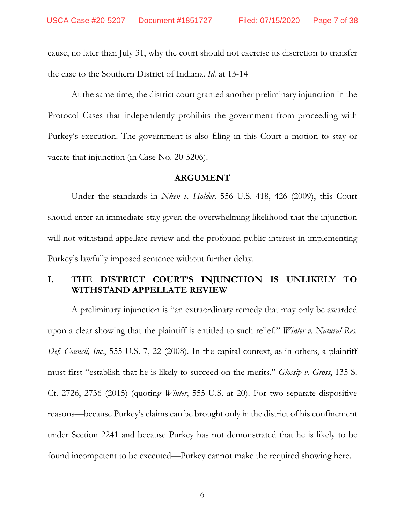cause, no later than July 31, why the court should not exercise its discretion to transfer the case to the Southern District of Indiana. *Id.* at 13-14

At the same time, the district court granted another preliminary injunction in the Protocol Cases that independently prohibits the government from proceeding with Purkey's execution. The government is also filing in this Court a motion to stay or vacate that injunction (in Case No. 20-5206).

# **ARGUMENT**

Under the standards in *Nken v. Holder,* 556 U.S. 418, 426 (2009), this Court should enter an immediate stay given the overwhelming likelihood that the injunction will not withstand appellate review and the profound public interest in implementing Purkey's lawfully imposed sentence without further delay.

# **I. THE DISTRICT COURT'S INJUNCTION IS UNLIKELY TO WITHSTAND APPELLATE REVIEW**

A preliminary injunction is "an extraordinary remedy that may only be awarded upon a clear showing that the plaintiff is entitled to such relief." *Winter v. Natural Res. Def. Council, Inc.*, 555 U.S. 7, 22 (2008). In the capital context, as in others, a plaintiff must first "establish that he is likely to succeed on the merits." *Glossip v. Gross*, 135 S. Ct. 2726, 2736 (2015) (quoting *Winter*, 555 U.S. at 20). For two separate dispositive reasons—because Purkey's claims can be brought only in the district of his confinement under Section 2241 and because Purkey has not demonstrated that he is likely to be found incompetent to be executed—Purkey cannot make the required showing here.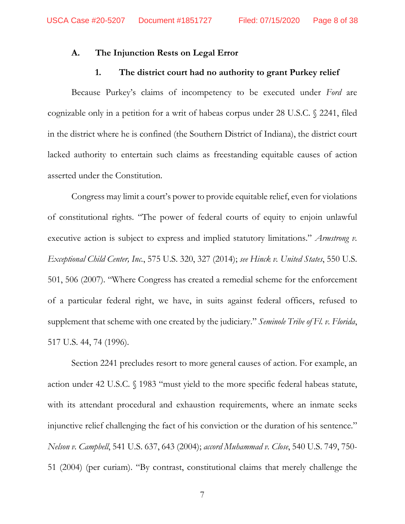## **A. The Injunction Rests on Legal Error**

#### **1. The district court had no authority to grant Purkey relief**

Because Purkey's claims of incompetency to be executed under *Ford* are cognizable only in a petition for a writ of habeas corpus under 28 U.S.C. § 2241, filed in the district where he is confined (the Southern District of Indiana), the district court lacked authority to entertain such claims as freestanding equitable causes of action asserted under the Constitution.

Congress may limit a court's power to provide equitable relief, even for violations of constitutional rights. "The power of federal courts of equity to enjoin unlawful executive action is subject to express and implied statutory limitations." *Armstrong v. Exceptional Child Center, Inc.*, 575 U.S. 320, 327 (2014); *see Hinck v. United States*, 550 U.S. 501, 506 (2007). "Where Congress has created a remedial scheme for the enforcement of a particular federal right, we have, in suits against federal officers, refused to supplement that scheme with one created by the judiciary." *Seminole Tribe of Fl. v. Florida*, 517 U.S. 44, 74 (1996).

Section 2241 precludes resort to more general causes of action. For example, an action under 42 U.S.C. § 1983 "must yield to the more specific federal habeas statute, with its attendant procedural and exhaustion requirements, where an inmate seeks injunctive relief challenging the fact of his conviction or the duration of his sentence." *Nelson v. Campbell*, 541 U.S. 637, 643 (2004); *accord Muhammad v. Close*, 540 U.S. 749, 750- 51 (2004) (per curiam). "By contrast, constitutional claims that merely challenge the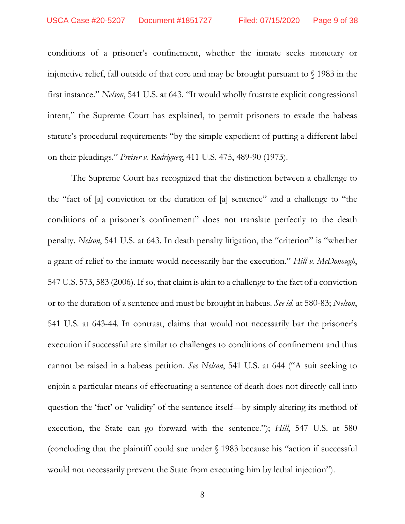conditions of a prisoner's confinement, whether the inmate seeks monetary or injunctive relief, fall outside of that core and may be brought pursuant to § 1983 in the first instance." *Nelson*, 541 U.S. at 643. "It would wholly frustrate explicit congressional intent," the Supreme Court has explained, to permit prisoners to evade the habeas statute's procedural requirements "by the simple expedient of putting a different label on their pleadings." *Preiser v. Rodriguez*, 411 U.S. 475, 489-90 (1973).

The Supreme Court has recognized that the distinction between a challenge to the "fact of [a] conviction or the duration of [a] sentence" and a challenge to "the conditions of a prisoner's confinement" does not translate perfectly to the death penalty. *Nelson*, 541 U.S. at 643. In death penalty litigation, the "criterion" is "whether a grant of relief to the inmate would necessarily bar the execution." *Hill v. McDonough*, 547 U.S. 573, 583 (2006). If so, that claim is akin to a challenge to the fact of a conviction or to the duration of a sentence and must be brought in habeas. *See id.* at 580-83; *Nelson*, 541 U.S. at 643-44. In contrast, claims that would not necessarily bar the prisoner's execution if successful are similar to challenges to conditions of confinement and thus cannot be raised in a habeas petition. *See Nelson*, 541 U.S. at 644 ("A suit seeking to enjoin a particular means of effectuating a sentence of death does not directly call into question the 'fact' or 'validity' of the sentence itself—by simply altering its method of execution, the State can go forward with the sentence."); *Hill*, 547 U.S. at 580 (concluding that the plaintiff could sue under § 1983 because his "action if successful would not necessarily prevent the State from executing him by lethal injection").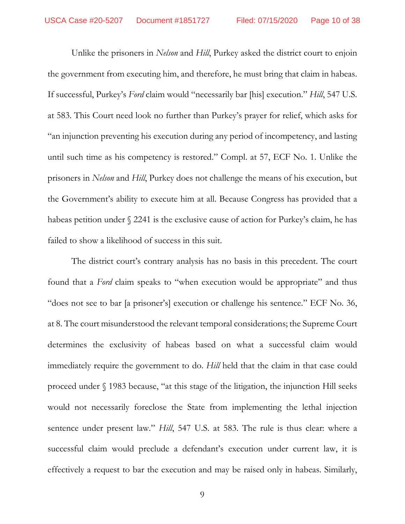Unlike the prisoners in *Nelson* and *Hill*, Purkey asked the district court to enjoin the government from executing him, and therefore, he must bring that claim in habeas. If successful, Purkey's *Ford* claim would "necessarily bar [his] execution." *Hill*, 547 U.S. at 583. This Court need look no further than Purkey's prayer for relief, which asks for "an injunction preventing his execution during any period of incompetency, and lasting until such time as his competency is restored." Compl. at 57, ECF No. 1. Unlike the prisoners in *Nelson* and *Hill*, Purkey does not challenge the means of his execution, but the Government's ability to execute him at all. Because Congress has provided that a habeas petition under § 2241 is the exclusive cause of action for Purkey's claim, he has failed to show a likelihood of success in this suit.

The district court's contrary analysis has no basis in this precedent. The court found that a *Ford* claim speaks to "when execution would be appropriate" and thus "does not see to bar [a prisoner's] execution or challenge his sentence." ECF No. 36, at 8. The court misunderstood the relevant temporal considerations; the Supreme Court determines the exclusivity of habeas based on what a successful claim would immediately require the government to do. *Hill* held that the claim in that case could proceed under § 1983 because, "at this stage of the litigation, the injunction Hill seeks would not necessarily foreclose the State from implementing the lethal injection sentence under present law." *Hill*, 547 U.S. at 583. The rule is thus clear: where a successful claim would preclude a defendant's execution under current law, it is effectively a request to bar the execution and may be raised only in habeas. Similarly,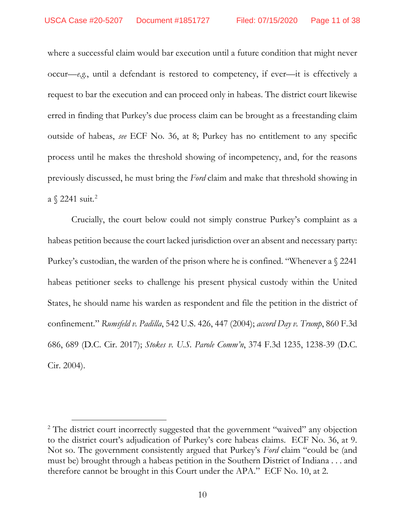where a successful claim would bar execution until a future condition that might never occur—*e.g.*, until a defendant is restored to competency, if ever—it is effectively a request to bar the execution and can proceed only in habeas. The district court likewise erred in finding that Purkey's due process claim can be brought as a freestanding claim outside of habeas, *see* ECF No. 36, at 8; Purkey has no entitlement to any specific process until he makes the threshold showing of incompetency, and, for the reasons previously discussed, he must bring the *Ford* claim and make that threshold showing in a  $\sqrt{2241}$  suit.<sup>2</sup>

Crucially, the court below could not simply construe Purkey's complaint as a habeas petition because the court lacked jurisdiction over an absent and necessary party: Purkey's custodian, the warden of the prison where he is confined. "Whenever a § 2241 habeas petitioner seeks to challenge his present physical custody within the United States, he should name his warden as respondent and file the petition in the district of confinement." *Rumsfeld v. Padilla*, 542 U.S. 426, 447 (2004); *accord Day v. Trump*, 860 F.3d 686, 689 (D.C. Cir. 2017); *Stokes v. U.S. Parole Comm'n*, 374 F.3d 1235, 1238-39 (D.C. Cir. 2004).

<sup>&</sup>lt;sup>2</sup> The district court incorrectly suggested that the government "waived" any objection to the district court's adjudication of Purkey's core habeas claims. ECF No. 36, at 9. Not so. The government consistently argued that Purkey's *Ford* claim "could be (and must be) brought through a habeas petition in the Southern District of Indiana . . . and therefore cannot be brought in this Court under the APA." ECF No. 10, at 2.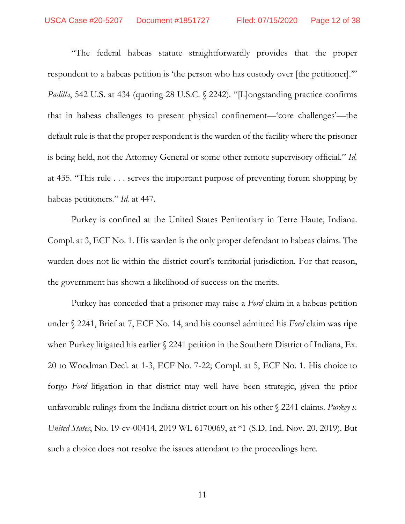"The federal habeas statute straightforwardly provides that the proper respondent to a habeas petition is 'the person who has custody over [the petitioner].'" *Padilla*, 542 U.S. at 434 (quoting 28 U.S.C. § 2242). "[L]ongstanding practice confirms that in habeas challenges to present physical confinement—'core challenges'—the default rule is that the proper respondent is the warden of the facility where the prisoner is being held, not the Attorney General or some other remote supervisory official." *Id.* at 435. "This rule . . . serves the important purpose of preventing forum shopping by habeas petitioners." *Id.* at 447.

Purkey is confined at the United States Penitentiary in Terre Haute, Indiana. Compl. at 3, ECF No. 1. His warden is the only proper defendant to habeas claims. The warden does not lie within the district court's territorial jurisdiction. For that reason, the government has shown a likelihood of success on the merits.

Purkey has conceded that a prisoner may raise a *Ford* claim in a habeas petition under § 2241, Brief at 7, ECF No. 14, and his counsel admitted his *Ford* claim was ripe when Purkey litigated his earlier § 2241 petition in the Southern District of Indiana, Ex. 20 to Woodman Decl. at 1-3, ECF No. 7-22; Compl. at 5, ECF No. 1. His choice to forgo *Ford* litigation in that district may well have been strategic, given the prior unfavorable rulings from the Indiana district court on his other § 2241 claims. *Purkey v. United States*, No. 19-cv-00414, 2019 WL 6170069, at \*1 (S.D. Ind. Nov. 20, 2019). But such a choice does not resolve the issues attendant to the proceedings here.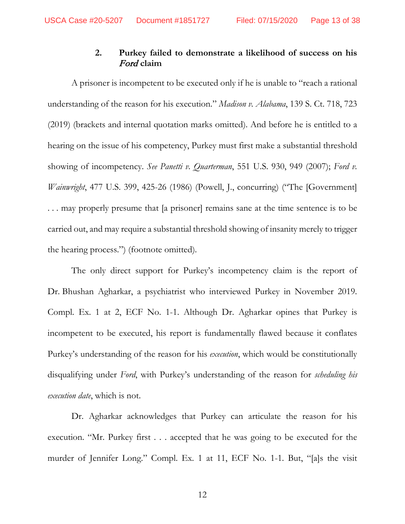# **2. Purkey failed to demonstrate a likelihood of success on his**  Ford **claim**

A prisoner is incompetent to be executed only if he is unable to "reach a rational understanding of the reason for his execution." *Madison v. Alabama*, 139 S. Ct. 718, 723 (2019) (brackets and internal quotation marks omitted). And before he is entitled to a hearing on the issue of his competency, Purkey must first make a substantial threshold showing of incompetency. *See Panetti v. Quarterman*, 551 U.S. 930, 949 (2007); *Ford v. Wainwright*, 477 U.S. 399, 425-26 (1986) (Powell, J., concurring) ("The [Government] . . . may properly presume that [a prisoner] remains sane at the time sentence is to be carried out, and may require a substantial threshold showing of insanity merely to trigger the hearing process.") (footnote omitted).

The only direct support for Purkey's incompetency claim is the report of Dr. Bhushan Agharkar, a psychiatrist who interviewed Purkey in November 2019. Compl. Ex. 1 at 2, ECF No. 1-1. Although Dr. Agharkar opines that Purkey is incompetent to be executed, his report is fundamentally flawed because it conflates Purkey's understanding of the reason for his *execution*, which would be constitutionally disqualifying under *Ford*, with Purkey's understanding of the reason for *scheduling his execution date*, which is not.

Dr. Agharkar acknowledges that Purkey can articulate the reason for his execution. "Mr. Purkey first . . . accepted that he was going to be executed for the murder of Jennifer Long." Compl. Ex. 1 at 11, ECF No. 1-1. But, "[a]s the visit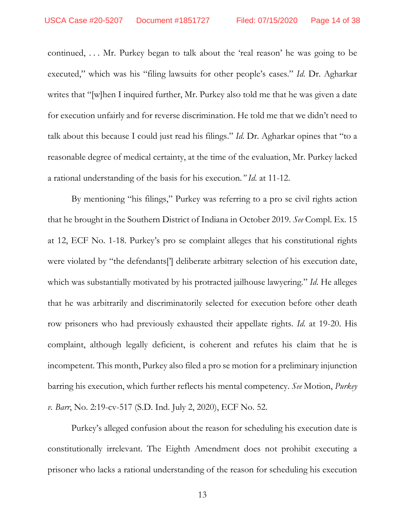continued, . . . Mr. Purkey began to talk about the 'real reason' he was going to be executed," which was his "filing lawsuits for other people's cases." *Id*. Dr. Agharkar writes that "[w]hen I inquired further, Mr. Purkey also told me that he was given a date for execution unfairly and for reverse discrimination. He told me that we didn't need to talk about this because I could just read his filings." *Id*. Dr. Agharkar opines that "to a reasonable degree of medical certainty, at the time of the evaluation, Mr. Purkey lacked a rational understanding of the basis for his execution*." Id*. at 11-12.

By mentioning "his filings," Purkey was referring to a pro se civil rights action that he brought in the Southern District of Indiana in October 2019. *See* Compl. Ex. 15 at 12, ECF No. 1-18. Purkey's pro se complaint alleges that his constitutional rights were violated by "the defendants['] deliberate arbitrary selection of his execution date, which was substantially motivated by his protracted jailhouse lawyering." *Id*. He alleges that he was arbitrarily and discriminatorily selected for execution before other death row prisoners who had previously exhausted their appellate rights. *Id.* at 19-20. His complaint, although legally deficient, is coherent and refutes his claim that he is incompetent. This month, Purkey also filed a pro se motion for a preliminary injunction barring his execution, which further reflects his mental competency. *See* Motion, *Purkey v. Barr*, No. 2:19-cv-517 (S.D. Ind. July 2, 2020), ECF No. 52.

Purkey's alleged confusion about the reason for scheduling his execution date is constitutionally irrelevant. The Eighth Amendment does not prohibit executing a prisoner who lacks a rational understanding of the reason for scheduling his execution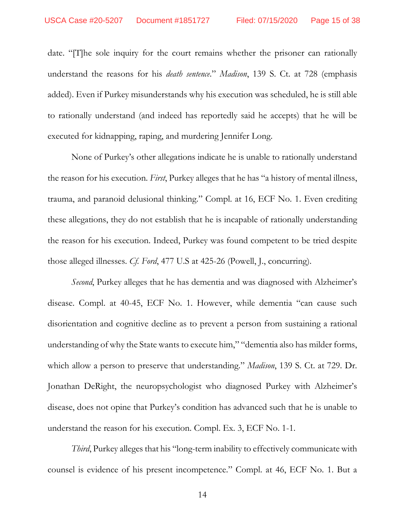date. "[T]he sole inquiry for the court remains whether the prisoner can rationally understand the reasons for his *death sentence*." *Madison*, 139 S. Ct. at 728 (emphasis added). Even if Purkey misunderstands why his execution was scheduled, he is still able to rationally understand (and indeed has reportedly said he accepts) that he will be executed for kidnapping, raping, and murdering Jennifer Long.

None of Purkey's other allegations indicate he is unable to rationally understand the reason for his execution. *First*, Purkey alleges that he has "a history of mental illness, trauma, and paranoid delusional thinking." Compl. at 16, ECF No. 1. Even crediting these allegations, they do not establish that he is incapable of rationally understanding the reason for his execution. Indeed, Purkey was found competent to be tried despite those alleged illnesses. *Cf. Ford*, 477 U.S at 425-26 (Powell, J., concurring).

*Second*, Purkey alleges that he has dementia and was diagnosed with Alzheimer's disease. Compl. at 40-45, ECF No. 1. However, while dementia "can cause such disorientation and cognitive decline as to prevent a person from sustaining a rational understanding of why the State wants to execute him," "dementia also has milder forms, which allow a person to preserve that understanding." *Madison*, 139 S. Ct. at 729. Dr. Jonathan DeRight, the neuropsychologist who diagnosed Purkey with Alzheimer's disease, does not opine that Purkey's condition has advanced such that he is unable to understand the reason for his execution. Compl. Ex. 3, ECF No. 1-1.

*Third*, Purkey alleges that his "long-term inability to effectively communicate with counsel is evidence of his present incompetence." Compl. at 46, ECF No. 1. But a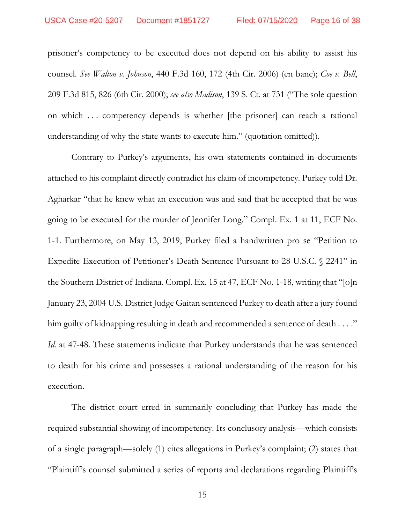prisoner's competency to be executed does not depend on his ability to assist his counsel. *See Walton v. Johnson*, 440 F.3d 160, 172 (4th Cir. 2006) (en banc); *Coe v. Bell*, 209 F.3d 815, 826 (6th Cir. 2000); *see also Madison*, 139 S. Ct. at 731 ("The sole question on which . . . competency depends is whether [the prisoner] can reach a rational understanding of why the state wants to execute him." (quotation omitted)).

Contrary to Purkey's arguments, his own statements contained in documents attached to his complaint directly contradict his claim of incompetency. Purkey told Dr. Agharkar "that he knew what an execution was and said that he accepted that he was going to be executed for the murder of Jennifer Long." Compl. Ex. 1 at 11, ECF No. 1-1. Furthermore, on May 13, 2019, Purkey filed a handwritten pro se "Petition to Expedite Execution of Petitioner's Death Sentence Pursuant to 28 U.S.C. § 2241" in the Southern District of Indiana. Compl. Ex. 15 at 47, ECF No. 1-18, writing that "[o]n January 23, 2004 U.S. District Judge Gaitan sentenced Purkey to death after a jury found him guilty of kidnapping resulting in death and recommended a sentence of death . . . ." *Id.* at 47-48. These statements indicate that Purkey understands that he was sentenced to death for his crime and possesses a rational understanding of the reason for his execution.

The district court erred in summarily concluding that Purkey has made the required substantial showing of incompetency. Its conclusory analysis—which consists of a single paragraph—solely (1) cites allegations in Purkey's complaint; (2) states that "Plaintiff's counsel submitted a series of reports and declarations regarding Plaintiff's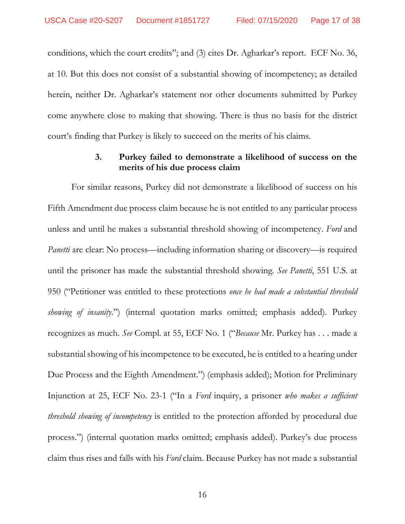conditions, which the court credits"; and (3) cites Dr. Agharkar's report. ECF No. 36, at 10. But this does not consist of a substantial showing of incompetency; as detailed herein, neither Dr. Agharkar's statement nor other documents submitted by Purkey come anywhere close to making that showing. There is thus no basis for the district court's finding that Purkey is likely to succeed on the merits of his claims.

# **3. Purkey failed to demonstrate a likelihood of success on the merits of his due process claim**

For similar reasons, Purkey did not demonstrate a likelihood of success on his Fifth Amendment due process claim because he is not entitled to any particular process unless and until he makes a substantial threshold showing of incompetency. *Ford* and *Panetti* are clear: No process—including information sharing or discovery—is required until the prisoner has made the substantial threshold showing. *See Panetti*, 551 U.S. at 950 ("Petitioner was entitled to these protections *once he had made a substantial threshold showing of insanity*.") (internal quotation marks omitted; emphasis added). Purkey recognizes as much. *See* Compl. at 55, ECF No. 1 ("*Because* Mr. Purkey has . . . made a substantial showing of his incompetence to be executed, he is entitled to a hearing under Due Process and the Eighth Amendment.") (emphasis added); Motion for Preliminary Injunction at 25, ECF No. 23-1 ("In a *Ford* inquiry, a prisoner *who makes a sufficient threshold showing of incompetency* is entitled to the protection afforded by procedural due process.") (internal quotation marks omitted; emphasis added). Purkey's due process claim thus rises and falls with his *Ford* claim. Because Purkey has not made a substantial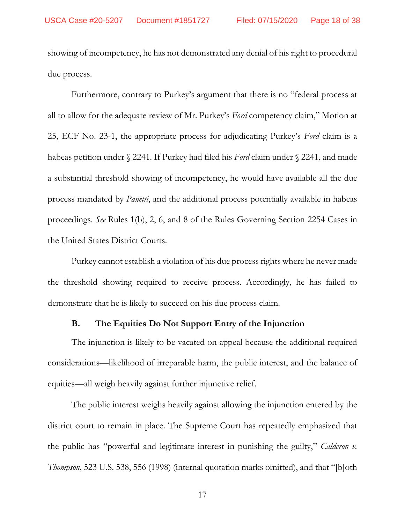showing of incompetency, he has not demonstrated any denial of his right to procedural due process.

Furthermore, contrary to Purkey's argument that there is no "federal process at all to allow for the adequate review of Mr. Purkey's *Ford* competency claim," Motion at 25, ECF No. 23-1, the appropriate process for adjudicating Purkey's *Ford* claim is a habeas petition under § 2241. If Purkey had filed his *Ford* claim under § 2241, and made a substantial threshold showing of incompetency, he would have available all the due process mandated by *Panetti*, and the additional process potentially available in habeas proceedings. *See* Rules 1(b), 2, 6, and 8 of the Rules Governing Section 2254 Cases in the United States District Courts.

Purkey cannot establish a violation of his due process rights where he never made the threshold showing required to receive process. Accordingly, he has failed to demonstrate that he is likely to succeed on his due process claim.

# **B. The Equities Do Not Support Entry of the Injunction**

The injunction is likely to be vacated on appeal because the additional required considerations—likelihood of irreparable harm, the public interest, and the balance of equities—all weigh heavily against further injunctive relief.

The public interest weighs heavily against allowing the injunction entered by the district court to remain in place. The Supreme Court has repeatedly emphasized that the public has "powerful and legitimate interest in punishing the guilty," *Calderon v. Thompson*, 523 U.S. 538, 556 (1998) (internal quotation marks omitted), and that "[b]oth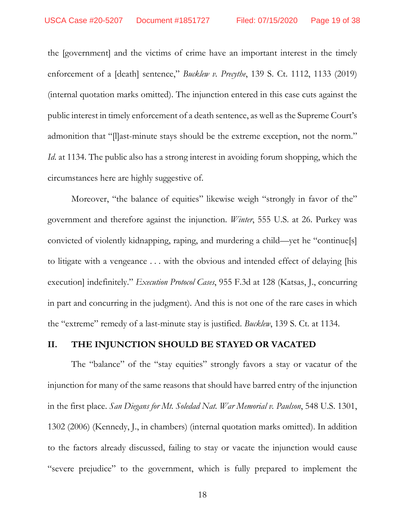the [government] and the victims of crime have an important interest in the timely enforcement of a [death] sentence," *Bucklew v. Precythe*, 139 S. Ct. 1112, 1133 (2019) (internal quotation marks omitted). The injunction entered in this case cuts against the public interest in timely enforcement of a death sentence, as well as the Supreme Court's admonition that "[l]ast-minute stays should be the extreme exception, not the norm." *Id.* at 1134. The public also has a strong interest in avoiding forum shopping, which the circumstances here are highly suggestive of.

Moreover, "the balance of equities" likewise weigh "strongly in favor of the" government and therefore against the injunction. *Winter*, 555 U.S. at 26. Purkey was convicted of violently kidnapping, raping, and murdering a child—yet he "continue[s] to litigate with a vengeance . . . with the obvious and intended effect of delaying [his execution] indefinitely." *Execution Protocol Cases*, 955 F.3d at 128 (Katsas, J., concurring in part and concurring in the judgment). And this is not one of the rare cases in which the "extreme" remedy of a last-minute stay is justified. *Bucklew*, 139 S. Ct. at 1134.

## **II. THE INJUNCTION SHOULD BE STAYED OR VACATED**

The "balance" of the "stay equities" strongly favors a stay or vacatur of the injunction for many of the same reasons that should have barred entry of the injunction in the first place. *San Diegans for Mt. Soledad Nat. War Memorial v. Paulson*, 548 U.S. 1301, 1302 (2006) (Kennedy, J., in chambers) (internal quotation marks omitted). In addition to the factors already discussed, failing to stay or vacate the injunction would cause "severe prejudice" to the government, which is fully prepared to implement the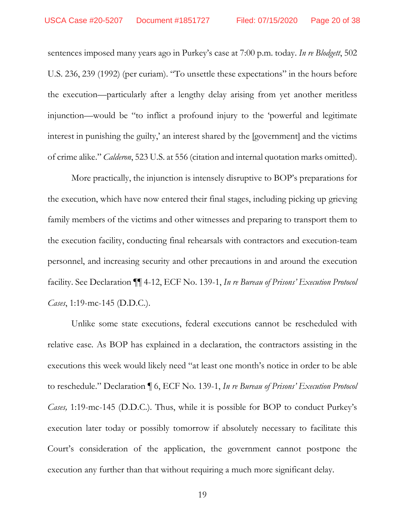sentences imposed many years ago in Purkey's case at 7:00 p.m. today. *In re Blodgett*, 502 U.S. 236, 239 (1992) (per curiam). "To unsettle these expectations" in the hours before the execution—particularly after a lengthy delay arising from yet another meritless injunction—would be "to inflict a profound injury to the 'powerful and legitimate interest in punishing the guilty,' an interest shared by the [government] and the victims of crime alike." *Calderon*, 523 U.S. at 556 (citation and internal quotation marks omitted).

More practically, the injunction is intensely disruptive to BOP's preparations for the execution, which have now entered their final stages, including picking up grieving family members of the victims and other witnesses and preparing to transport them to the execution facility, conducting final rehearsals with contractors and execution-team personnel, and increasing security and other precautions in and around the execution facility. See Declaration ¶¶ 4-12, ECF No. 139-1, *In re Bureau of Prisons' Execution Protocol Cases*, 1:19-mc-145 (D.D.C.).

Unlike some state executions, federal executions cannot be rescheduled with relative ease. As BOP has explained in a declaration, the contractors assisting in the executions this week would likely need "at least one month's notice in order to be able to reschedule." Declaration ¶ 6, ECF No. 139-1, *In re Bureau of Prisons' Execution Protocol Cases,* 1:19-mc-145 (D.D.C.). Thus, while it is possible for BOP to conduct Purkey's execution later today or possibly tomorrow if absolutely necessary to facilitate this Court's consideration of the application, the government cannot postpone the execution any further than that without requiring a much more significant delay.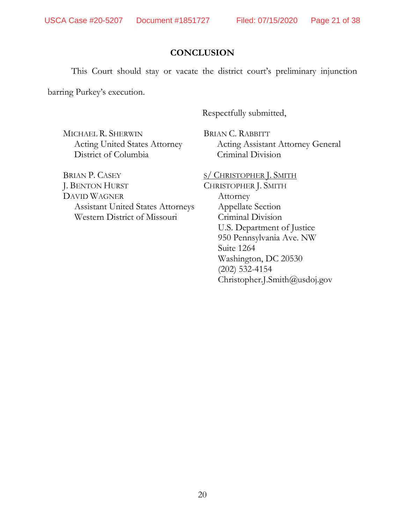# **CONCLUSION**

This Court should stay or vacate the district court's preliminary injunction

barring Purkey's execution.

Respectfully submitted,

MICHAEL R. SHERWIN Acting United States Attorney District of Columbia

BRIAN C. RABBITT Acting Assistant Attorney General Criminal Division

BRIAN P. CASEY J. BENTON HURST DAVID WAGNER Assistant United States Attorneys Western District of Missouri

S/ CHRISTOPHER J. SMITH CHRISTOPHER J. SMITH Attorney Appellate Section Criminal Division U.S. Department of Justice 950 Pennsylvania Ave. NW Suite 1264 Washington, DC 20530 (202) 532-4154 Christopher.J.Smith@usdoj.gov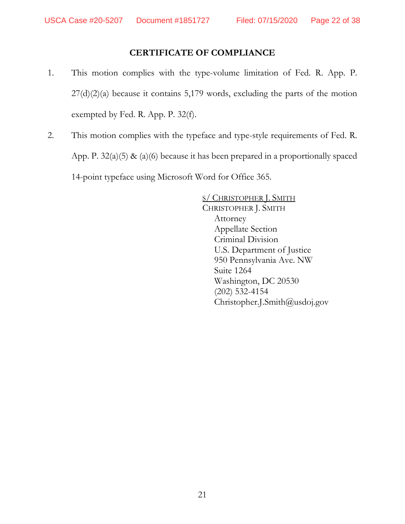# **CERTIFICATE OF COMPLIANCE**

- 1. This motion complies with the type-volume limitation of Fed. R. App. P.  $27(d)(2)(a)$  because it contains 5,179 words, excluding the parts of the motion exempted by Fed. R. App. P. 32(f).
- 2. This motion complies with the typeface and type-style requirements of Fed. R. App. P.  $32(a)(5)$  &  $(a)(6)$  because it has been prepared in a proportionally spaced 14-point typeface using Microsoft Word for Office 365.

S/ CHRISTOPHER J. SMITH CHRISTOPHER J. SMITH **Attorney** Appellate Section Criminal Division U.S. Department of Justice 950 Pennsylvania Ave. NW Suite 1264 Washington, DC 20530 (202) 532-4154 Christopher.J.Smith@usdoj.gov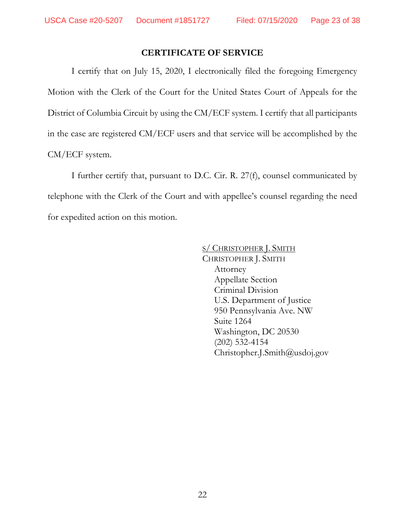# **CERTIFICATE OF SERVICE**

I certify that on July 15, 2020, I electronically filed the foregoing Emergency Motion with the Clerk of the Court for the United States Court of Appeals for the District of Columbia Circuit by using the CM/ECF system. I certify that all participants in the case are registered CM/ECF users and that service will be accomplished by the CM/ECF system.

I further certify that, pursuant to D.C. Cir. R. 27(f), counsel communicated by telephone with the Clerk of the Court and with appellee's counsel regarding the need for expedited action on this motion.

> S/ CHRISTOPHER J. SMITH CHRISTOPHER J. SMITH **Attorney** Appellate Section Criminal Division U.S. Department of Justice 950 Pennsylvania Ave. NW Suite 1264 Washington, DC 20530 (202) 532-4154 Christopher.J.Smith@usdoj.gov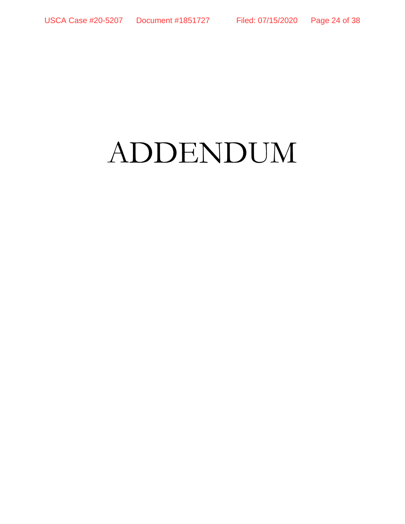# ADDENDUM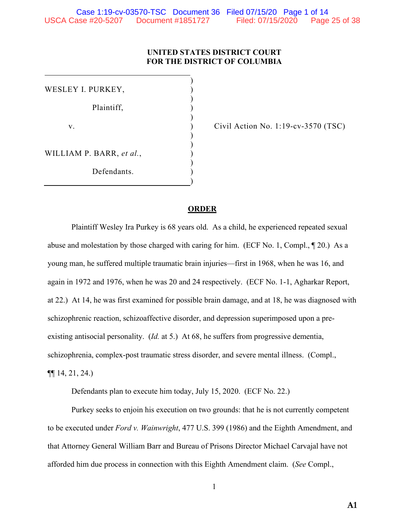#### **UNITED STATES DISTRICT COURT FOR THE DISTRICT OF COLUMBIA**

) WESLEY I. PURKEY, ) Plaintiff, ) )  $\mathbf v.$  ) ) ) WILLIAM P. BARR, et al., ) Defendants. )

Civil Action No. 1:19-cv-3570 (TSC)

#### **ORDER**

Plaintiff Wesley Ira Purkey is 68 years old. As a child, he experienced repeated sexual abuse and molestation by those charged with caring for him. (ECF No. 1, Compl., ¶ 20.) As a young man, he suffered multiple traumatic brain injuries—first in 1968, when he was 16, and again in 1972 and 1976, when he was 20 and 24 respectively. (ECF No. 1-1, Agharkar Report, at 22.) At 14, he was first examined for possible brain damage, and at 18, he was diagnosed with schizophrenic reaction, schizoaffective disorder, and depression superimposed upon a preexisting antisocial personality. (*Id.* at 5.) At 68, he suffers from progressive dementia, schizophrenia, complex-post traumatic stress disorder, and severe mental illness. (Compl., ¶¶ 14, 21, 24.)

Defendants plan to execute him today, July 15, 2020. (ECF No. 22.)

Purkey seeks to enjoin his execution on two grounds: that he is not currently competent to be executed under *Ford v. Wainwright*, 477 U.S. 399 (1986) and the Eighth Amendment, and that Attorney General William Barr and Bureau of Prisons Director Michael Carvajal have not afforded him due process in connection with this Eighth Amendment claim. (*See* Compl.,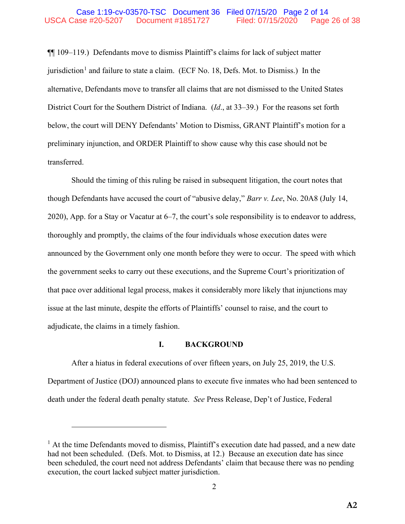¶¶ 109–119.) Defendants move to dismiss Plaintiff's claims for lack of subject matter jurisdiction<sup>1</sup> and failure to state a claim. (ECF No. 18, Defs. Mot. to Dismiss.) In the alternative, Defendants move to transfer all claims that are not dismissed to the United States District Court for the Southern District of Indiana. (*Id*., at 33–39.) For the reasons set forth below, the court will DENY Defendants' Motion to Dismiss, GRANT Plaintiff's motion for a preliminary injunction, and ORDER Plaintiff to show cause why this case should not be transferred.

Should the timing of this ruling be raised in subsequent litigation, the court notes that though Defendants have accused the court of "abusive delay," *Barr v. Lee*, No. 20A8 (July 14, 2020), App. for a Stay or Vacatur at 6–7, the court's sole responsibility is to endeavor to address, thoroughly and promptly, the claims of the four individuals whose execution dates were announced by the Government only one month before they were to occur. The speed with which the government seeks to carry out these executions, and the Supreme Court's prioritization of that pace over additional legal process, makes it considerably more likely that injunctions may issue at the last minute, despite the efforts of Plaintiffs' counsel to raise, and the court to adjudicate, the claims in a timely fashion.

#### **I. BACKGROUND**

After a hiatus in federal executions of over fifteen years, on July 25, 2019, the U.S. Department of Justice (DOJ) announced plans to execute five inmates who had been sentenced to death under the federal death penalty statute. *See* Press Release, Dep't of Justice, Federal

 $<sup>1</sup>$  At the time Defendants moved to dismiss, Plaintiff's execution date had passed, and a new date</sup> had not been scheduled. (Defs. Mot. to Dismiss, at 12.) Because an execution date has since been scheduled, the court need not address Defendants' claim that because there was no pending execution, the court lacked subject matter jurisdiction.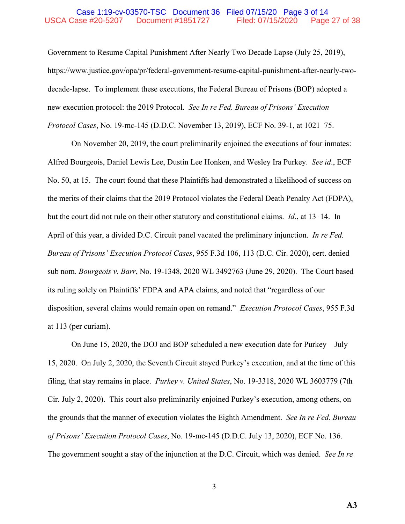#### Case 1:19-cv-03570-TSC Document 36 Filed 07/15/20 Page 3 of 14 USCA Case #20-5207 Document #1851727 Filed: 07/15/2020 Page 27 of 38

Government to Resume Capital Punishment After Nearly Two Decade Lapse (July 25, 2019), https://www.justice.gov/opa/pr/federal-government-resume-capital-punishment-after-nearly-twodecade-lapse. To implement these executions, the Federal Bureau of Prisons (BOP) adopted a new execution protocol: the 2019 Protocol. *See In re Fed. Bureau of Prisons' Execution Protocol Cases*, No. 19-mc-145 (D.D.C. November 13, 2019), ECF No. 39-1, at 1021–75.

On November 20, 2019, the court preliminarily enjoined the executions of four inmates: Alfred Bourgeois, Daniel Lewis Lee, Dustin Lee Honken, and Wesley Ira Purkey. *See id*., ECF No. 50, at 15. The court found that these Plaintiffs had demonstrated a likelihood of success on the merits of their claims that the 2019 Protocol violates the Federal Death Penalty Act (FDPA), but the court did not rule on their other statutory and constitutional claims. *Id*., at 13–14. In April of this year, a divided D.C. Circuit panel vacated the preliminary injunction. *In re Fed. Bureau of Prisons' Execution Protocol Cases*, 955 F.3d 106, 113 (D.C. Cir. 2020), cert. denied sub nom. *Bourgeois v. Barr*, No. 19-1348, 2020 WL 3492763 (June 29, 2020). The Court based its ruling solely on Plaintiffs' FDPA and APA claims, and noted that "regardless of our disposition, several claims would remain open on remand." *Execution Protocol Cases*, 955 F.3d at 113 (per curiam).

On June 15, 2020, the DOJ and BOP scheduled a new execution date for Purkey—July 15, 2020. On July 2, 2020, the Seventh Circuit stayed Purkey's execution, and at the time of this filing, that stay remains in place. *Purkey v. United States*, No. 19-3318, 2020 WL 3603779 (7th Cir. July 2, 2020). This court also preliminarily enjoined Purkey's execution, among others, on the grounds that the manner of execution violates the Eighth Amendment. *See In re Fed. Bureau of Prisons' Execution Protocol Cases*, No. 19-mc-145 (D.D.C. July 13, 2020), ECF No. 136. The government sought a stay of the injunction at the D.C. Circuit, which was denied. *See In re*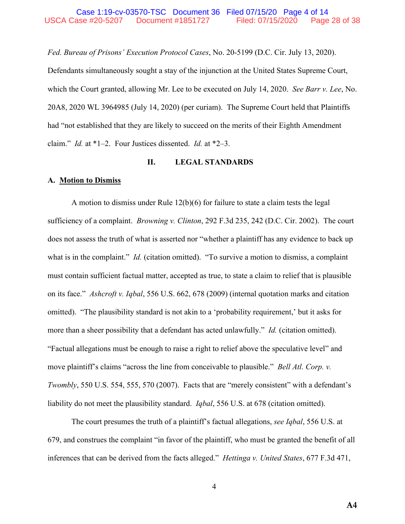*Fed. Bureau of Prisons' Execution Protocol Cases*, No. 20-5199 (D.C. Cir. July 13, 2020).

Defendants simultaneously sought a stay of the injunction at the United States Supreme Court, which the Court granted, allowing Mr. Lee to be executed on July 14, 2020. *See Barr v. Lee*, No. 20A8, 2020 WL 3964985 (July 14, 2020) (per curiam). The Supreme Court held that Plaintiffs had "not established that they are likely to succeed on the merits of their Eighth Amendment claim." *Id.* at \*1–2. Four Justices dissented. *Id.* at \*2–3.

#### **II. LEGAL STANDARDS**

#### **A. Motion to Dismiss**

A motion to dismiss under Rule 12(b)(6) for failure to state a claim tests the legal sufficiency of a complaint. *Browning v. Clinton*, 292 F.3d 235, 242 (D.C. Cir. 2002). The court does not assess the truth of what is asserted nor "whether a plaintiff has any evidence to back up what is in the complaint." *Id.* (citation omitted). "To survive a motion to dismiss, a complaint must contain sufficient factual matter, accepted as true, to state a claim to relief that is plausible on its face." *Ashcroft v. Iqbal*, 556 U.S. 662, 678 (2009) (internal quotation marks and citation omitted). "The plausibility standard is not akin to a 'probability requirement,' but it asks for more than a sheer possibility that a defendant has acted unlawfully." *Id.* (citation omitted). "Factual allegations must be enough to raise a right to relief above the speculative level" and move plaintiff's claims "across the line from conceivable to plausible." *Bell Atl. Corp. v. Twombly*, 550 U.S. 554, 555, 570 (2007). Facts that are "merely consistent" with a defendant's liability do not meet the plausibility standard. *Iqbal*, 556 U.S. at 678 (citation omitted).

The court presumes the truth of a plaintiff's factual allegations, *see Iqbal*, 556 U.S. at 679, and construes the complaint "in favor of the plaintiff, who must be granted the benefit of all inferences that can be derived from the facts alleged." *Hettinga v. United States*, 677 F.3d 471,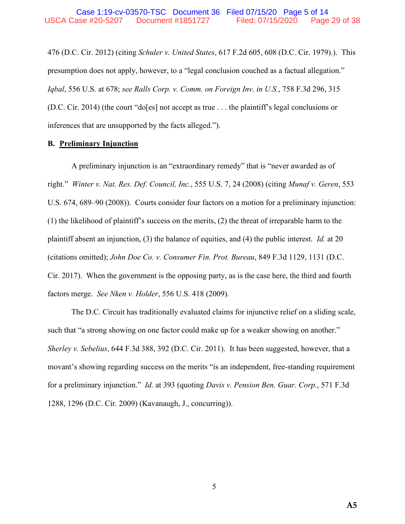476 (D.C. Cir. 2012) (citing *Schuler v. United States*, 617 F.2d 605, 608 (D.C. Cir. 1979).). This presumption does not apply, however, to a "legal conclusion couched as a factual allegation." *Iqbal*, 556 U.S. at 678; *see Ralls Corp. v. Comm. on Foreign Inv. in U.S.*, 758 F.3d 296, 315 (D.C. Cir. 2014) (the court "do[es] not accept as true . . . the plaintiff's legal conclusions or inferences that are unsupported by the facts alleged.").

#### **B. Preliminary Injunction**

A preliminary injunction is an "extraordinary remedy" that is "never awarded as of right." *Winter v. Nat. Res. Def. Council, Inc.*, 555 U.S. 7, 24 (2008) (citing *Munaf v. Geren*, 553 U.S. 674, 689–90 (2008)). Courts consider four factors on a motion for a preliminary injunction: (1) the likelihood of plaintiff's success on the merits, (2) the threat of irreparable harm to the plaintiff absent an injunction, (3) the balance of equities, and (4) the public interest. *Id.* at 20 (citations omitted); *John Doe Co. v. Consumer Fin. Prot. Bureau*, 849 F.3d 1129, 1131 (D.C. Cir. 2017). When the government is the opposing party, as is the case here, the third and fourth factors merge. *See Nken v. Holder*, 556 U.S. 418 (2009).

The D.C. Circuit has traditionally evaluated claims for injunctive relief on a sliding scale, such that "a strong showing on one factor could make up for a weaker showing on another." *Sherley v. Sebelius*, 644 F.3d 388, 392 (D.C. Cir. 2011). It has been suggested, however, that a movant's showing regarding success on the merits "is an independent, free-standing requirement for a preliminary injunction." *Id.* at 393 (quoting *Davis v. Pension Ben. Guar. Corp.*, 571 F.3d 1288, 1296 (D.C. Cir. 2009) (Kavanaugh, J., concurring)).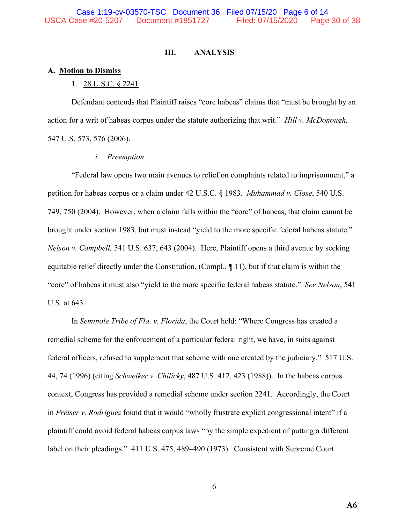#### **III. ANALYSIS**

#### **A. Motion to Dismiss**

#### 1. 28 U.S.C. § 2241

Defendant contends that Plaintiff raises "core habeas" claims that "must be brought by an action for a writ of habeas corpus under the statute authorizing that writ." *Hill v. McDonough*, 547 U.S. 573, 576 (2006).

#### *i. Preemption*

"Federal law opens two main avenues to relief on complaints related to imprisonment," a petition for habeas corpus or a claim under 42 U.S.C. § 1983. *Muhammad v. Close*, 540 U.S. 749, 750 (2004). However, when a claim falls within the "core" of habeas, that claim cannot be brought under section 1983, but must instead "yield to the more specific federal habeas statute." *Nelson v. Campbell,* 541 U.S. 637, 643 (2004). Here, Plaintiff opens a third avenue by seeking equitable relief directly under the Constitution, (Compl., ¶ 11), but if that claim is within the "core" of habeas it must also "yield to the more specific federal habeas statute." *See Nelson*, 541 U.S. at 643.

In *Seminole Tribe of Fla. v. Florida*, the Court held: "Where Congress has created a remedial scheme for the enforcement of a particular federal right, we have, in suits against federal officers, refused to supplement that scheme with one created by the judiciary." 517 U.S. 44, 74 (1996) (citing *Schweiker v. Chilicky*, 487 U.S. 412, 423 (1988)). In the habeas corpus context, Congress has provided a remedial scheme under section 2241. Accordingly, the Court in *Preiser v. Rodriguez* found that it would "wholly frustrate explicit congressional intent" if a plaintiff could avoid federal habeas corpus laws "by the simple expedient of putting a different label on their pleadings." 411 U.S. 475, 489–490 (1973). Consistent with Supreme Court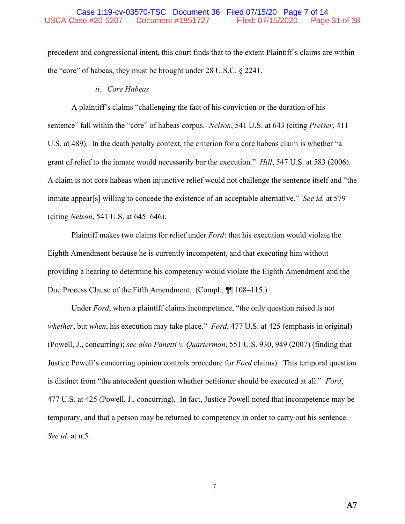#### Case 1:19-cv-03570-TSC Document 36 Filed 07/15/20 Page 7 of 14 USCA Case #20-5207 Document #1851727 Filed: 07/15/2020 Page 31 of 38

precedent and congressional intent, this court finds that to the extent Plaintiff's claims are within the "core" of habeas, they must be brought under 28 U.S.C. § 2241.

#### *ii. Core Habeas*

A plaintiff's claims "challenging the fact of his conviction or the duration of his sentence" fall within the "core" of habeas corpus. *Nelson*, 541 U.S. at 643 (citing *Preiser*, 411 U.S. at 489). In the death penalty context, the criterion for a core habeas claim is whether "a grant of relief to the inmate would necessarily bar the execution." *Hill*, 547 U.S. at 583 (2006). A claim is not core habeas when injunctive relief would not challenge the sentence itself and "the inmate appear[s] willing to concede the existence of an acceptable alternative." *See id.* at 579 (citing *Nelson*, 541 U.S. at 645–646).

Plaintiff makes two claims for relief under *Ford*: that his execution would violate the Eighth Amendment because he is currently incompetent, and that executing him without providing a hearing to determine his competency would violate the Eighth Amendment and the Due Process Clause of the Fifth Amendment. (Compl., ¶¶ 108–115.)

Under *Ford*, when a plaintiff claims incompetence, "the only question raised is not *whether*, but *when*, his execution may take place." *Ford*, 477 U.S. at 425 (emphasis in original) (Powell, J., concurring); *see also Panetti v. Quarterman*, 551 U.S. 930, 949 (2007) (finding that Justice Powell's concurring opinion controls procedure for *Ford* claims). This temporal question is distinct from "the antecedent question whether petitioner should be executed at all." *Ford*, 477 U.S. at 425 (Powell, J., concurring).In fact, Justice Powell noted that incompetence may be temporary, and that a person may be returned to competency in order to carry out his sentence. *See id.* at n.5.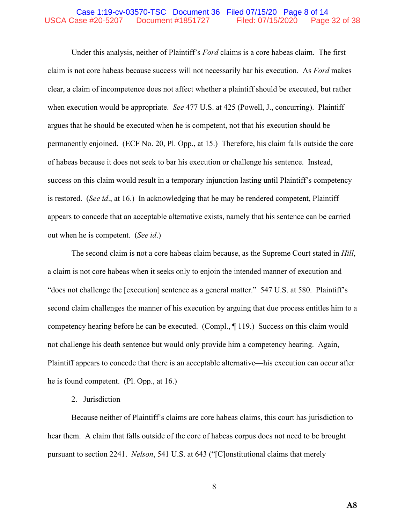#### Case 1:19-cv-03570-TSC Document 36 Filed 07/15/20 Page 8 of 14 USCA Case #20-5207 Document #1851727 Filed: 07/15/2020 Page 32 of 38

Under this analysis, neither of Plaintiff's *Ford* claims is a core habeas claim. The first claim is not core habeas because success will not necessarily bar his execution. As *Ford* makes clear, a claim of incompetence does not affect whether a plaintiff should be executed, but rather when execution would be appropriate. *See* 477 U.S. at 425 (Powell, J., concurring). Plaintiff argues that he should be executed when he is competent, not that his execution should be permanently enjoined. (ECF No. 20, Pl. Opp., at 15.) Therefore, his claim falls outside the core of habeas because it does not seek to bar his execution or challenge his sentence. Instead, success on this claim would result in a temporary injunction lasting until Plaintiff's competency is restored. (*See id*., at 16.) In acknowledging that he may be rendered competent, Plaintiff appears to concede that an acceptable alternative exists, namely that his sentence can be carried out when he is competent. (*See id*.)

The second claim is not a core habeas claim because, as the Supreme Court stated in *Hill*, a claim is not core habeas when it seeks only to enjoin the intended manner of execution and "does not challenge the [execution] sentence as a general matter." 547 U.S. at 580. Plaintiff's second claim challenges the manner of his execution by arguing that due process entitles him to a competency hearing before he can be executed. (Compl., ¶ 119.) Success on this claim would not challenge his death sentence but would only provide him a competency hearing. Again, Plaintiff appears to concede that there is an acceptable alternative—his execution can occur after he is found competent. (Pl. Opp., at 16.)

#### 2. Jurisdiction

Because neither of Plaintiff's claims are core habeas claims, this court has jurisdiction to hear them. A claim that falls outside of the core of habeas corpus does not need to be brought pursuant to section 2241. *Nelson*, 541 U.S. at 643 ("[C]onstitutional claims that merely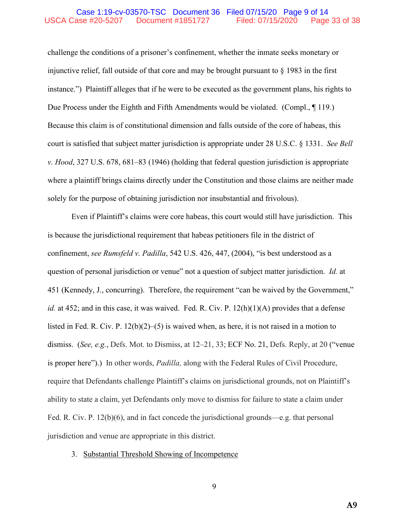#### Case 1:19-cv-03570-TSC Document 36 Filed 07/15/20 Page 9 of 14 USCA Case #20-5207 Document #1851727 Filed: 07/15/2020 Page 33 of 38

challenge the conditions of a prisoner's confinement, whether the inmate seeks monetary or injunctive relief, fall outside of that core and may be brought pursuant to § 1983 in the first instance.") Plaintiff alleges that if he were to be executed as the government plans, his rights to Due Process under the Eighth and Fifth Amendments would be violated. (Compl., ¶ 119.) Because this claim is of constitutional dimension and falls outside of the core of habeas, this court is satisfied that subject matter jurisdiction is appropriate under 28 U.S.C. § 1331. *See Bell v. Hood*, 327 U.S. 678, 681–83 (1946) (holding that federal question jurisdiction is appropriate where a plaintiff brings claims directly under the Constitution and those claims are neither made solely for the purpose of obtaining jurisdiction nor insubstantial and frivolous).

Even if Plaintiff's claims were core habeas, this court would still have jurisdiction. This is because the jurisdictional requirement that habeas petitioners file in the district of confinement, *see Rumsfeld v. Padilla*, 542 U.S. 426, 447, (2004), "is best understood as a question of personal jurisdiction or venue" not a question of subject matter jurisdiction. *Id.* at 451 (Kennedy, J., concurring). Therefore, the requirement "can be waived by the Government," *id.* at 452; and in this case, it was waived. Fed. R. Civ. P. 12(h)(1)(A) provides that a defense listed in Fed. R. Civ. P.  $12(b)(2)$ –(5) is waived when, as here, it is not raised in a motion to dismiss. (*See, e.g.*, Defs. Mot. to Dismiss, at 12–21, 33; ECF No. 21, Defs. Reply, at 20 ("venue is proper here").) In other words, *Padilla,* along with the Federal Rules of Civil Procedure, require that Defendants challenge Plaintiff's claims on jurisdictional grounds, not on Plaintiff's ability to state a claim, yet Defendants only move to dismiss for failure to state a claim under Fed. R. Civ. P. 12(b)(6), and in fact concede the jurisdictional grounds—e.g. that personal jurisdiction and venue are appropriate in this district.

#### 3. Substantial Threshold Showing of Incompetence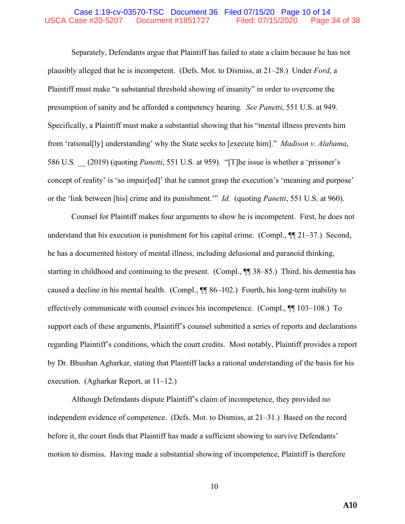#### Case 1:19-cv-03570-TSC Document 36 Filed 07/15/20 Page 10 of 14 USCA Case #20-5207 Document #1851727 Filed: 07/15/2020 Page 34 of 38

Separately, Defendants argue that Plaintiff has failed to state a claim because he has not plausibly alleged that he is incompetent. (Defs. Mot. to Dismiss, at 21–28.) Under *Ford*, a Plaintiff must make "a substantial threshold showing of insanity" in order to overcome the presumption of sanity and be afforded a competency hearing. *See Panetti*, 551 U.S. at 949. Specifically, a Plaintiff must make a substantial showing that his "mental illness prevents him from 'rational[ly] understanding' why the State seeks to [execute him]." *Madison v. Alabama*, 586 U.S. \_\_ (2019) (quoting *Panetti*, 551 U.S. at 959). "[T]he issue is whether a 'prisoner's concept of reality' is 'so impair[ed]' that he cannot grasp the execution's 'meaning and purpose' or the 'link between [his] crime and its punishment.'" *Id.* (quoting *Panetti*, 551 U.S. at 960).

Counsel for Plaintiff makes four arguments to show he is incompetent. First, he does not understand that his execution is punishment for his capital crime. (Compl.,  $\P$  $[21-37]$ .) Second, he has a documented history of mental illness, including delusional and paranoid thinking, starting in childhood and continuing to the present. (Compl., ¶¶ 38–85.) Third, his dementia has caused a decline in his mental health. (Compl., ¶¶ 86–102.) Fourth, his long-term inability to effectively communicate with counsel evinces his incompetence. (Compl., ¶¶ 103–108.) To support each of these arguments, Plaintiff's counsel submitted a series of reports and declarations regarding Plaintiff's conditions, which the court credits. Most notably, Plaintiff provides a report by Dr. Bhushan Agharkar, stating that Plaintiff lacks a rational understanding of the basis for his execution. (Agharkar Report, at 11–12.)

Although Defendants dispute Plaintiff's claim of incompetence, they provided no independent evidence of competence. (Defs. Mot. to Dismiss, at 21–31.) Based on the record before it, the court finds that Plaintiff has made a sufficient showing to survive Defendants' motion to dismiss. Having made a substantial showing of incompetence, Plaintiff is therefore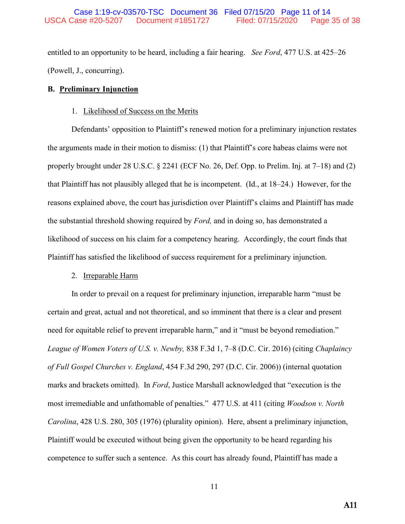entitled to an opportunity to be heard, including a fair hearing. *See Ford*, 477 U.S. at 425–26 (Powell, J., concurring).

#### **B. Preliminary Injunction**

#### 1. Likelihood of Success on the Merits

Defendants' opposition to Plaintiff's renewed motion for a preliminary injunction restates the arguments made in their motion to dismiss: (1) that Plaintiff's core habeas claims were not properly brought under 28 U.S.C.  $\S$  2241 (ECF No. 26, Def. Opp. to Prelim. Inj. at 7–18) and (2) that Plaintiff has not plausibly alleged that he is incompetent. (Id., at 18–24.) However, for the reasons explained above, the court has jurisdiction over Plaintiff's claims and Plaintiff has made the substantial threshold showing required by *Ford,* and in doing so, has demonstrated a likelihood of success on his claim for a competency hearing. Accordingly, the court finds that Plaintiff has satisfied the likelihood of success requirement for a preliminary injunction.

#### 2. Irreparable Harm

In order to prevail on a request for preliminary injunction, irreparable harm "must be certain and great, actual and not theoretical, and so imminent that there is a clear and present need for equitable relief to prevent irreparable harm," and it "must be beyond remediation." *League of Women Voters of U.S. v. Newby,* 838 F.3d 1, 7–8 (D.C. Cir. 2016) (citing *Chaplaincy of Full Gospel Churches v. England*, 454 F.3d 290, 297 (D.C. Cir. 2006)) (internal quotation marks and brackets omitted). In *Ford*, Justice Marshall acknowledged that "execution is the most irremediable and unfathomable of penalties." 477 U.S. at 411 (citing *Woodson v. North Carolina*, 428 U.S. 280, 305 (1976) (plurality opinion). Here, absent a preliminary injunction, Plaintiff would be executed without being given the opportunity to be heard regarding his competence to suffer such a sentence. As this court has already found, Plaintiff has made a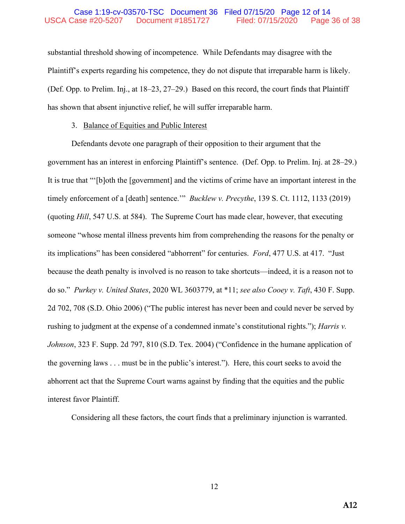#### Case 1:19-cv-03570-TSC Document 36 Filed 07/15/20 Page 12 of 14 USCA Case #20-5207 Document #1851727 Filed: 07/15/2020 Page 36 of 38

substantial threshold showing of incompetence. While Defendants may disagree with the Plaintiff's experts regarding his competence, they do not dispute that irreparable harm is likely. (Def. Opp. to Prelim. Inj., at 18–23, 27–29.) Based on this record, the court finds that Plaintiff has shown that absent injunctive relief, he will suffer irreparable harm.

#### 3. Balance of Equities and Public Interest

Defendants devote one paragraph of their opposition to their argument that the government has an interest in enforcing Plaintiff's sentence. (Def. Opp. to Prelim. Inj. at 28–29.) It is true that "'[b]oth the [government] and the victims of crime have an important interest in the timely enforcement of a [death] sentence." *Bucklew v. Precythe*, 139 S. Ct. 1112, 1133 (2019) (quoting *Hill*, 547 U.S. at 584). The Supreme Court has made clear, however, that executing someone "whose mental illness prevents him from comprehending the reasons for the penalty or its implications" has been considered "abhorrent" for centuries. *Ford*, 477 U.S. at 417. "Just because the death penalty is involved is no reason to take shortcuts—indeed, it is a reason not to do so." *Purkey v. United States*, 2020 WL 3603779, at \*11; *see also Cooey v. Taft*, 430 F. Supp. 2d 702, 708 (S.D. Ohio 2006) ("The public interest has never been and could never be served by rushing to judgment at the expense of a condemned inmate's constitutional rights."); *Harris v. Johnson*, 323 F. Supp. 2d 797, 810 (S.D. Tex. 2004) ("Confidence in the humane application of the governing laws . . . must be in the public's interest."). Here, this court seeks to avoid the abhorrent act that the Supreme Court warns against by finding that the equities and the public interest favor Plaintiff.

Considering all these factors, the court finds that a preliminary injunction is warranted.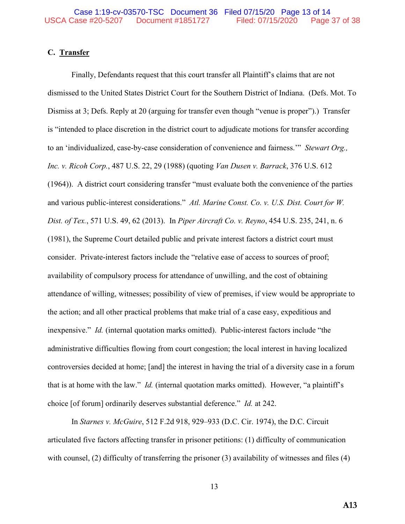#### **C. Transfer**

Finally, Defendants request that this court transfer all Plaintiff's claims that are not dismissed to the United States District Court for the Southern District of Indiana. (Defs. Mot. To Dismiss at 3; Defs. Reply at 20 (arguing for transfer even though "venue is proper").) Transfer is "intended to place discretion in the district court to adjudicate motions for transfer according to an 'individualized, case-by-case consideration of convenience and fairness.'" *Stewart Org., Inc. v. Ricoh Corp.*, 487 U.S. 22, 29 (1988) (quoting *Van Dusen v. Barrack*, 376 U.S. 612 (1964)). A district court considering transfer "must evaluate both the convenience of the parties and various public-interest considerations." *Atl. Marine Const. Co. v. U.S. Dist. Court for W. Dist. of Tex.*, 571 U.S. 49, 62 (2013). In *Piper Aircraft Co. v. Reyno*, 454 U.S. 235, 241, n. 6 (1981), the Supreme Court detailed public and private interest factors a district court must consider. Private-interest factors include the "relative ease of access to sources of proof; availability of compulsory process for attendance of unwilling, and the cost of obtaining attendance of willing, witnesses; possibility of view of premises, if view would be appropriate to the action; and all other practical problems that make trial of a case easy, expeditious and inexpensive." *Id.* (internal quotation marks omitted). Public-interest factors include "the administrative difficulties flowing from court congestion; the local interest in having localized controversies decided at home; [and] the interest in having the trial of a diversity case in a forum that is at home with the law." *Id.* (internal quotation marks omitted). However, "a plaintiff's choice [of forum] ordinarily deserves substantial deference." *Id.* at 242.

In *Starnes v. McGuire*, 512 F.2d 918, 929–933 (D.C. Cir. 1974), the D.C. Circuit articulated five factors affecting transfer in prisoner petitions: (1) difficulty of communication with counsel, (2) difficulty of transferring the prisoner (3) availability of witnesses and files (4)